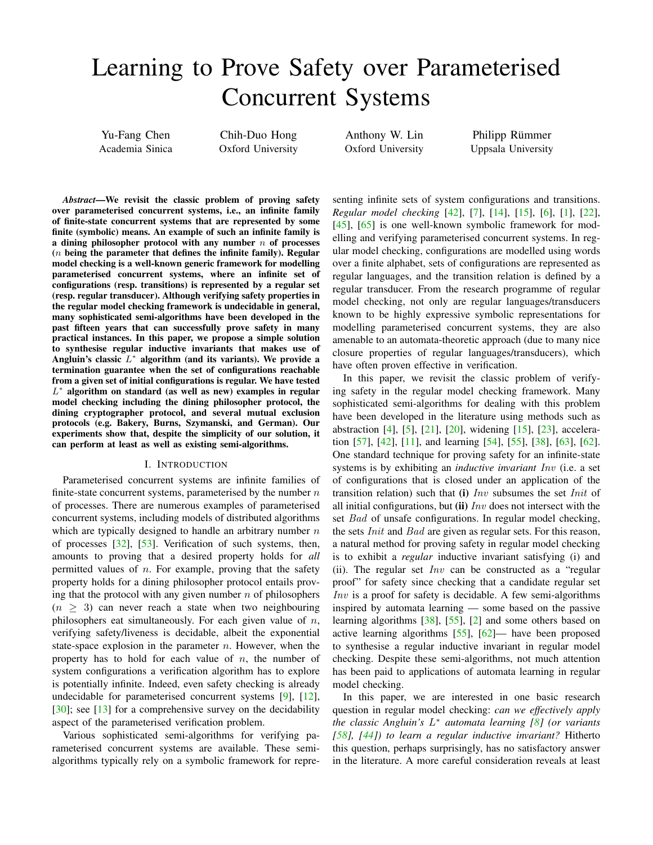# Learning to Prove Safety over Parameterised Concurrent Systems

Yu-Fang Chen Academia Sinica

Chih-Duo Hong Oxford University

Anthony W. Lin Oxford University

Philipp Rümmer Uppsala University

*Abstract*—We revisit the classic problem of proving safety over parameterised concurrent systems, i.e., an infinite family of finite-state concurrent systems that are represented by some finite (symbolic) means. An example of such an infinite family is a dining philosopher protocol with any number  $n$  of processes  $(n)$  being the parameter that defines the infinite family). Regular model checking is a well-known generic framework for modelling parameterised concurrent systems, where an infinite set of configurations (resp. transitions) is represented by a regular set (resp. regular transducer). Although verifying safety properties in the regular model checking framework is undecidable in general, many sophisticated semi-algorithms have been developed in the past fifteen years that can successfully prove safety in many practical instances. In this paper, we propose a simple solution to synthesise regular inductive invariants that makes use of Angluin's classic  $L^*$  algorithm (and its variants). We provide a termination guarantee when the set of configurations reachable from a given set of initial configurations is regular. We have tested  $L^*$  algorithm on standard (as well as new) examples in regular model checking including the dining philosopher protocol, the dining cryptographer protocol, and several mutual exclusion protocols (e.g. Bakery, Burns, Szymanski, and German). Our experiments show that, despite the simplicity of our solution, it can perform at least as well as existing semi-algorithms.

#### I. INTRODUCTION

Parameterised concurrent systems are infinite families of finite-state concurrent systems, parameterised by the number  $n$ of processes. There are numerous examples of parameterised concurrent systems, including models of distributed algorithms which are typically designed to handle an arbitrary number  $n$ of processes [\[32\]](#page-7-0), [\[53\]](#page-7-1). Verification of such systems, then, amounts to proving that a desired property holds for *all* permitted values of  $n$ . For example, proving that the safety property holds for a dining philosopher protocol entails proving that the protocol with any given number  $n$  of philosophers  $(n \geq 3)$  can never reach a state when two neighbouring philosophers eat simultaneously. For each given value of  $n$ , verifying safety/liveness is decidable, albeit the exponential state-space explosion in the parameter  $n$ . However, when the property has to hold for each value of  $n$ , the number of system configurations a verification algorithm has to explore is potentially infinite. Indeed, even safety checking is already undecidable for parameterised concurrent systems [\[9\]](#page-6-0), [\[12\]](#page-6-1), [\[30\]](#page-7-2); see [\[13\]](#page-6-2) for a comprehensive survey on the decidability aspect of the parameterised verification problem.

Various sophisticated semi-algorithms for verifying parameterised concurrent systems are available. These semialgorithms typically rely on a symbolic framework for repre-

senting infinite sets of system configurations and transitions. *Regular model checking* [\[42\]](#page-7-3), [\[7\]](#page-6-3), [\[14\]](#page-6-4), [\[15\]](#page-6-5), [\[6\]](#page-6-6), [\[1\]](#page-6-7), [\[22\]](#page-6-8), [\[45\]](#page-7-4), [\[65\]](#page-7-5) is one well-known symbolic framework for modelling and verifying parameterised concurrent systems. In regular model checking, configurations are modelled using words over a finite alphabet, sets of configurations are represented as regular languages, and the transition relation is defined by a regular transducer. From the research programme of regular model checking, not only are regular languages/transducers known to be highly expressive symbolic representations for modelling parameterised concurrent systems, they are also amenable to an automata-theoretic approach (due to many nice closure properties of regular languages/transducers), which have often proven effective in verification.

In this paper, we revisit the classic problem of verifying safety in the regular model checking framework. Many sophisticated semi-algorithms for dealing with this problem have been developed in the literature using methods such as abstraction [\[4\]](#page-6-9), [\[5\]](#page-6-10), [\[21\]](#page-6-11), [\[20\]](#page-6-12), widening [\[15\]](#page-6-5), [\[23\]](#page-7-6), acceleration [\[57\]](#page-7-7), [\[42\]](#page-7-3), [\[11\]](#page-6-13), and learning [\[54\]](#page-7-8), [\[55\]](#page-7-9), [\[38\]](#page-7-10), [\[63\]](#page-7-11), [\[62\]](#page-7-12). One standard technique for proving safety for an infinite-state systems is by exhibiting an *inductive invariant* Inv (i.e. a set of configurations that is closed under an application of the transition relation) such that (i)  $Inv$  subsumes the set  $Init$  of all initial configurations, but (ii)  $Inv$  does not intersect with the set *Bad* of unsafe configurations. In regular model checking, the sets Init and Bad are given as regular sets. For this reason, a natural method for proving safety in regular model checking is to exhibit a *regular* inductive invariant satisfying (i) and (ii). The regular set  $Inv$  can be constructed as a "regular proof" for safety since checking that a candidate regular set  $Inv$  is a proof for safety is decidable. A few semi-algorithms inspired by automata learning — some based on the passive learning algorithms [\[38\]](#page-7-10), [\[55\]](#page-7-9), [\[2\]](#page-6-14) and some others based on active learning algorithms  $[55]$ ,  $[62]$ — have been proposed to synthesise a regular inductive invariant in regular model checking. Despite these semi-algorithms, not much attention has been paid to applications of automata learning in regular model checking.

In this paper, we are interested in one basic research question in regular model checking: *can we effectively apply the classic Angluin's* L <sup>∗</sup> *automata learning [\[8\]](#page-6-15) (or variants [\[58\]](#page-7-13), [\[44\]](#page-7-14)) to learn a regular inductive invariant?* Hitherto this question, perhaps surprisingly, has no satisfactory answer in the literature. A more careful consideration reveals at least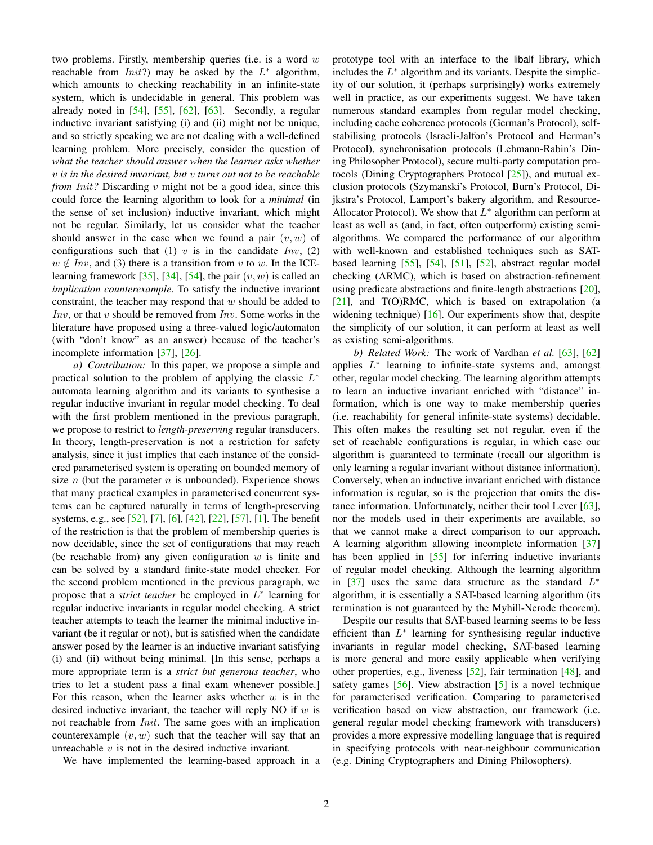two problems. Firstly, membership queries (i.e. is a word  $w$ reachable from  $Init$ ?) may be asked by the  $L^*$  algorithm, which amounts to checking reachability in an infinite-state system, which is undecidable in general. This problem was already noted in  $[54]$ ,  $[55]$ ,  $[62]$ ,  $[63]$ . Secondly, a regular inductive invariant satisfying (i) and (ii) might not be unique, and so strictly speaking we are not dealing with a well-defined learning problem. More precisely, consider the question of *what the teacher should answer when the learner asks whether* v *is in the desired invariant, but* v *turns out not to be reachable from Init?* Discarding v might not be a good idea, since this could force the learning algorithm to look for a *minimal* (in the sense of set inclusion) inductive invariant, which might not be regular. Similarly, let us consider what the teacher should answer in the case when we found a pair  $(v, w)$  of configurations such that (1) v is in the candidate  $Inv, (2)$  $w \notin Inv$ , and (3) there is a transition from v to w. In the ICE-learning framework [\[35\]](#page-7-15), [\[34\]](#page-7-16), [\[54\]](#page-7-8), the pair  $(v, w)$  is called an *implication counterexample*. To satisfy the inductive invariant constraint, the teacher may respond that  $w$  should be added to  $Inv$ , or that v should be removed from  $Inv$ . Some works in the literature have proposed using a three-valued logic/automaton (with "don't know" as an answer) because of the teacher's incomplete information [\[37\]](#page-7-17), [\[26\]](#page-7-18).

*a) Contribution:* In this paper, we propose a simple and practical solution to the problem of applying the classic  $L^*$ automata learning algorithm and its variants to synthesise a regular inductive invariant in regular model checking. To deal with the first problem mentioned in the previous paragraph, we propose to restrict to *length-preserving* regular transducers. In theory, length-preservation is not a restriction for safety analysis, since it just implies that each instance of the considered parameterised system is operating on bounded memory of size  $n$  (but the parameter  $n$  is unbounded). Experience shows that many practical examples in parameterised concurrent systems can be captured naturally in terms of length-preserving systems, e.g., see [\[52\]](#page-7-19), [\[7\]](#page-6-3), [\[6\]](#page-6-6), [\[42\]](#page-7-3), [\[22\]](#page-6-8), [\[57\]](#page-7-7), [\[1\]](#page-6-7). The benefit of the restriction is that the problem of membership queries is now decidable, since the set of configurations that may reach (be reachable from) any given configuration  $w$  is finite and can be solved by a standard finite-state model checker. For the second problem mentioned in the previous paragraph, we propose that a *strict teacher* be employed in  $L^*$  learning for regular inductive invariants in regular model checking. A strict teacher attempts to teach the learner the minimal inductive invariant (be it regular or not), but is satisfied when the candidate answer posed by the learner is an inductive invariant satisfying (i) and (ii) without being minimal. [In this sense, perhaps a more appropriate term is a *strict but generous teacher*, who tries to let a student pass a final exam whenever possible.] For this reason, when the learner asks whether  $w$  is in the desired inductive invariant, the teacher will reply NO if  $w$  is not reachable from *Init*. The same goes with an implication counterexample  $(v, w)$  such that the teacher will say that an unreachable  $v$  is not in the desired inductive invariant.

We have implemented the learning-based approach in a

prototype tool with an interface to the libalf library, which includes the  $L^*$  algorithm and its variants. Despite the simplicity of our solution, it (perhaps surprisingly) works extremely well in practice, as our experiments suggest. We have taken numerous standard examples from regular model checking, including cache coherence protocols (German's Protocol), selfstabilising protocols (Israeli-Jalfon's Protocol and Herman's Protocol), synchronisation protocols (Lehmann-Rabin's Dining Philosopher Protocol), secure multi-party computation protocols (Dining Cryptographers Protocol [\[25\]](#page-7-20)), and mutual exclusion protocols (Szymanski's Protocol, Burn's Protocol, Dijkstra's Protocol, Lamport's bakery algorithm, and Resource-Allocator Protocol). We show that  $L^*$  algorithm can perform at least as well as (and, in fact, often outperform) existing semialgorithms. We compared the performance of our algorithm with well-known and established techniques such as SATbased learning [\[55\]](#page-7-9), [\[54\]](#page-7-8), [\[51\]](#page-7-21), [\[52\]](#page-7-19), abstract regular model checking (ARMC), which is based on abstraction-refinement using predicate abstractions and finite-length abstractions [\[20\]](#page-6-12),  $[21]$ , and  $T(O)RMC$ , which is based on extrapolation (a widening technique)  $[16]$ . Our experiments show that, despite the simplicity of our solution, it can perform at least as well as existing semi-algorithms.

*b) Related Work:* The work of Vardhan *et al.* [\[63\]](#page-7-11), [\[62\]](#page-7-12) applies  $L^*$  learning to infinite-state systems and, amongst other, regular model checking. The learning algorithm attempts to learn an inductive invariant enriched with "distance" information, which is one way to make membership queries (i.e. reachability for general infinite-state systems) decidable. This often makes the resulting set not regular, even if the set of reachable configurations is regular, in which case our algorithm is guaranteed to terminate (recall our algorithm is only learning a regular invariant without distance information). Conversely, when an inductive invariant enriched with distance information is regular, so is the projection that omits the distance information. Unfortunately, neither their tool Lever [\[63\]](#page-7-11), nor the models used in their experiments are available, so that we cannot make a direct comparison to our approach. A learning algorithm allowing incomplete information [\[37\]](#page-7-17) has been applied in [\[55\]](#page-7-9) for inferring inductive invariants of regular model checking. Although the learning algorithm in [\[37\]](#page-7-17) uses the same data structure as the standard  $L^*$ algorithm, it is essentially a SAT-based learning algorithm (its termination is not guaranteed by the Myhill-Nerode theorem).

Despite our results that SAT-based learning seems to be less efficient than  $L^*$  learning for synthesising regular inductive invariants in regular model checking, SAT-based learning is more general and more easily applicable when verifying other properties, e.g., liveness [\[52\]](#page-7-19), fair termination [\[48\]](#page-7-22), and safety games  $[56]$ . View abstraction  $[5]$  is a novel technique for parameterised verification. Comparing to parameterised verification based on view abstraction, our framework (i.e. general regular model checking framework with transducers) provides a more expressive modelling language that is required in specifying protocols with near-neighbour communication (e.g. Dining Cryptographers and Dining Philosophers).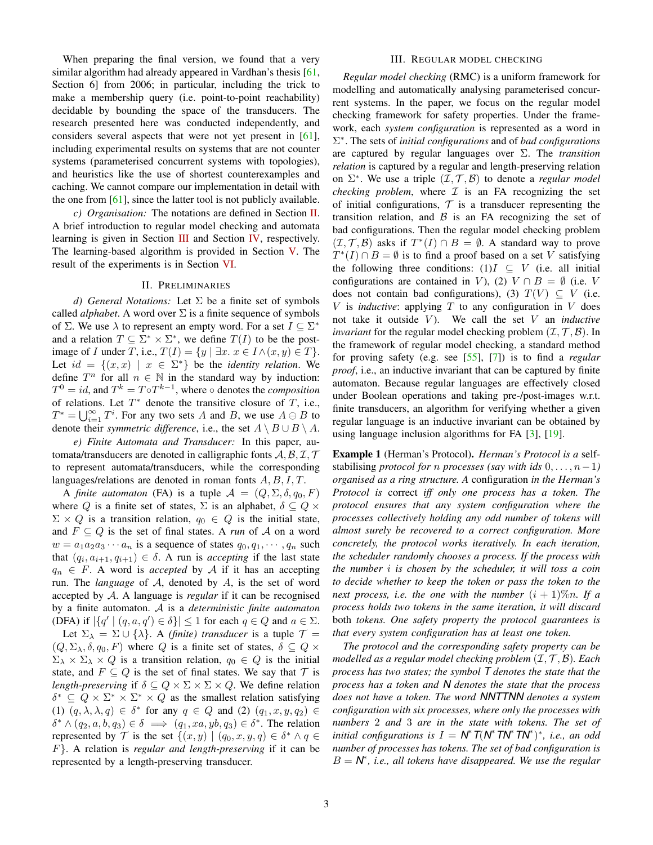When preparing the final version, we found that a very similar algorithm had already appeared in Vardhan's thesis [\[61,](#page-7-24) Section 6] from 2006; in particular, including the trick to make a membership query (i.e. point-to-point reachability) decidable by bounding the space of the transducers. The research presented here was conducted independently, and considers several aspects that were not yet present in [\[61\]](#page-7-24), including experimental results on systems that are not counter systems (parameterised concurrent systems with topologies), and heuristics like the use of shortest counterexamples and caching. We cannot compare our implementation in detail with the one from  $[61]$ , since the latter tool is not publicly available.

*c) Organisation:* The notations are defined in Section [II.](#page-2-0) A brief introduction to regular model checking and automata learning is given in Section  $III$  and Section [IV,](#page-3-0) respectively. The learning-based algorithm is provided in Section [V.](#page-4-0) The result of the experiments is in Section [VI.](#page-5-0)

#### II. PRELIMINARIES

<span id="page-2-0"></span>*d) General Notations:* Let Σ be a finite set of symbols called *alphabet*. A word over  $\Sigma$  is a finite sequence of symbols of  $\Sigma$ . We use  $\lambda$  to represent an empty word. For a set  $I \subseteq \Sigma^*$ and a relation  $T \subseteq \Sigma^* \times \Sigma^*$ , we define  $T(I)$  to be the postimage of I under T, i.e.,  $T(I) = \{y \mid \exists x. \ x \in I \land (x, y) \in T\}.$ Let  $id = \{(x, x) \mid x \in \Sigma^*\}$  be the *identity relation*. We define  $T^n$  for all  $n \in \mathbb{N}$  in the standard way by induction:  $T^0 = id$ , and  $T^k = T \circ T^{k-1}$ , where  $\circ$  denotes the *composition* of relations. Let  $T^*$  denote the transitive closure of  $T$ , i.e.,  $T^* = \bigcup_{i=1}^{\infty} T^i$ . For any two sets A and B, we use  $A \ominus B$  to denote their *symmetric difference*, i.e., the set  $A \setminus B \cup B \setminus A$ .

*e) Finite Automata and Transducer:* In this paper, automata/transducers are denoted in calligraphic fonts  $A, B, \mathcal{I}, \mathcal{T}$ to represent automata/transducers, while the corresponding languages/relations are denoted in roman fonts  $A, B, I, T$ .

A *finite automaton* (FA) is a tuple  $A = (Q, \Sigma, \delta, q_0, F)$ where Q is a finite set of states,  $\Sigma$  is an alphabet,  $\delta \subseteq Q \times$  $\Sigma \times Q$  is a transition relation,  $q_0 \in Q$  is the initial state, and  $F \subseteq Q$  is the set of final states. A *run* of A on a word  $w = a_1 a_2 a_3 \cdots a_n$  is a sequence of states  $q_0, q_1, \cdots, q_n$  such that  $(q_i, a_{i+1}, q_{i+1}) \in \delta$ . A run is *accepting* if the last state  $q_n \in F$ . A word is *accepted* by A if it has an accepting run. The *language* of A, denoted by A, is the set of word accepted by A. A language is *regular* if it can be recognised by a finite automaton. A is a *deterministic finite automaton* (DFA) if  $|\{q' \mid (q, a, q') \in \delta\}| \leq 1$  for each  $q \in Q$  and  $a \in \Sigma$ . Let  $\Sigma_{\lambda} = \Sigma \cup \{\lambda\}$ . A *(finite) transducer* is a tuple  $\mathcal{T} =$  $(Q, \Sigma_{\lambda}, \delta, q_0, F)$  where Q is a finite set of states,  $\delta \subseteq Q \times$  $\Sigma_{\lambda} \times \Sigma_{\lambda} \times Q$  is a transition relation,  $q_0 \in Q$  is the initial state, and  $F \subseteq Q$  is the set of final states. We say that  $T$  is *length-preserving* if  $\delta \subseteq Q \times \Sigma \times \Sigma \times Q$ . We define relation  $\delta^* \subseteq Q \times \Sigma^* \times \Sigma^* \times Q$  as the smallest relation satisfying (1)  $(q, \lambda, \lambda, q) \in \delta^*$  for any  $q \in Q$  and (2)  $(q_1, x, y, q_2) \in$  $\delta^* \wedge (q_2, a, b, q_3) \in \delta \implies (q_1, xa, y_0, q_3) \in \delta^*$ . The relation represented by T is the set  $\{(x, y) | (q_0, x, y, q) \in \delta^* \land q \in$ F}. A relation is *regular and length-preserving* if it can be represented by a length-preserving transducer.

## III. REGULAR MODEL CHECKING

<span id="page-2-1"></span>*Regular model checking* (RMC) is a uniform framework for modelling and automatically analysing parameterised concurrent systems. In the paper, we focus on the regular model checking framework for safety properties. Under the framework, each *system configuration* is represented as a word in Σ ∗ . The sets of *initial configurations* and of *bad configurations* are captured by regular languages over Σ. The *transition relation* is captured by a regular and length-preserving relation on  $\Sigma^*$ . We use a triple  $(\mathcal{I}, \mathcal{T}, \mathcal{B})$  to denote a *regular model checking problem*, where  $I$  is an FA recognizing the set of initial configurations,  $T$  is a transducer representing the transition relation, and  $\beta$  is an FA recognizing the set of bad configurations. Then the regular model checking problem  $(\mathcal{I}, \mathcal{T}, \mathcal{B})$  asks if  $T^*(I) \cap B = \emptyset$ . A standard way to prove  $T^*(I) \cap B = \emptyset$  is to find a proof based on a set V satisfying the following three conditions:  $(1)I \subseteq V$  (i.e. all initial configurations are contained in V), (2)  $V \cap B = \emptyset$  (i.e. V does not contain bad configurations), (3)  $T(V) \subseteq V$  (i.e. V is *inductive*: applying  $T$  to any configuration in  $V$  does not take it outside V). We call the set V an *inductive invariant* for the regular model checking problem  $(\mathcal{I}, \mathcal{T}, \mathcal{B})$ . In the framework of regular model checking, a standard method for proving safety (e.g. see [\[55\]](#page-7-9), [\[7\]](#page-6-3)) is to find a *regular proof*, i.e., an inductive invariant that can be captured by finite automaton. Because regular languages are effectively closed under Boolean operations and taking pre-/post-images w.r.t. finite transducers, an algorithm for verifying whether a given regular language is an inductive invariant can be obtained by using language inclusion algorithms for FA [\[3\]](#page-6-17), [\[19\]](#page-6-18).

Example 1 (Herman's Protocol). *Herman's Protocol is a* selfstabilising *protocol for n processes* (say with ids  $0, \ldots, n-1$ ) *organised as a ring structure. A* configuration *in the Herman's Protocol is* correct *iff only one process has a token. The protocol ensures that any system configuration where the processes collectively holding any odd number of tokens will almost surely be recovered to a correct configuration. More concretely, the protocol works iteratively. In each iteration, the scheduler randomly chooses a process. If the process with the number* i *is chosen by the scheduler, it will toss a coin to decide whether to keep the token or pass the token to the next process, i.e. the one with the number*  $(i + 1)\%n$ *. If a process holds two tokens in the same iteration, it will discard* both *tokens. One safety property the protocol guarantees is that every system configuration has at least one token.*

*The protocol and the corresponding safety property can be modelled as a regular model checking problem* (I, T , B)*. Each process has two states; the symbol T denotes the state that the process has a token and N denotes the state that the process does not have a token. The word NNTTNN denotes a system configuration with six processes, where only the processes with numbers* 2 *and* 3 *are in the state with tokens. The set of initial configurations is*  $I = N^* T(N^* TN^* TN^*)^*$ , *i.e., an odd number of processes has tokens. The set of bad configuration is*  $B = N^*$ , *i.e., all tokens have disappeared. We use the regular*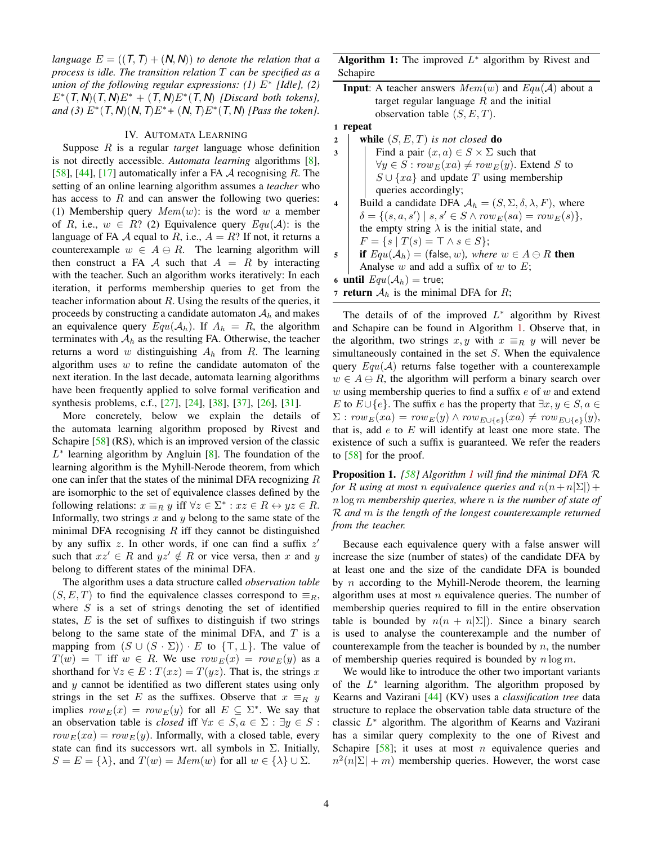*language*  $E = ((T, T) + (N, N))$  *to denote the relation that a process is idle. The transition relation* T *can be specified as a union of the following regular expressions: (1)* E<sup>∗</sup> *[Idle], (2)*  $E^*(T, N)(T, N)E^* + (T, N)E^*(T, N)$  [Discard both tokens], *and* (3)  $E^*(T, N)(N, T)E^* + (N, T)E^*(T, N)$  [Pass the token].

## IV. AUTOMATA LEARNING

<span id="page-3-0"></span>Suppose R is a regular *target* language whose definition is not directly accessible. *Automata learning* algorithms [\[8\]](#page-6-15), [\[58\]](#page-7-13), [\[44\]](#page-7-14), [\[17\]](#page-6-19) automatically infer a FA  $\cal A$  recognising  $\cal R$ . The setting of an online learning algorithm assumes a *teacher* who has access to  $R$  and can answer the following two queries: (1) Membership query  $Mem(w)$ : is the word w a member of R, i.e.,  $w \in R$ ? (2) Equivalence query  $Equ(\mathcal{A})$ : is the language of FA A equal to R, i.e.,  $A = R$ ? If not, it returns a counterexample  $w \in A \ominus R$ . The learning algorithm will then construct a FA A such that  $A = R$  by interacting with the teacher. Such an algorithm works iteratively: In each iteration, it performs membership queries to get from the teacher information about  $R$ . Using the results of the queries, it proceeds by constructing a candidate automaton  $A_h$  and makes an equivalence query  $Equ(\mathcal{A}_h)$ . If  $A_h = R$ , the algorithm terminates with  $A_h$  as the resulting FA. Otherwise, the teacher returns a word w distinguishing  $A_h$  from R. The learning algorithm uses  $w$  to refine the candidate automaton of the next iteration. In the last decade, automata learning algorithms have been frequently applied to solve formal verification and synthesis problems, c.f., [\[27\]](#page-7-25), [\[24\]](#page-7-26), [\[38\]](#page-7-10), [\[37\]](#page-7-17), [\[26\]](#page-7-18), [\[31\]](#page-7-27).

More concretely, below we explain the details of the automata learning algorithm proposed by Rivest and Schapire [\[58\]](#page-7-13) (RS), which is an improved version of the classic  $L^*$  learning algorithm by Angluin [\[8\]](#page-6-15). The foundation of the learning algorithm is the Myhill-Nerode theorem, from which one can infer that the states of the minimal DFA recognizing R are isomorphic to the set of equivalence classes defined by the following relations:  $x \equiv_R y$  iff  $\forall z \in \Sigma^* : xz \in R \leftrightarrow yz \in R$ . Informally, two strings  $x$  and  $y$  belong to the same state of the minimal DFA recognising  $R$  iff they cannot be distinguished by any suffix  $z$ . In other words, if one can find a suffix  $z'$ such that  $xz' \in R$  and  $yz' \notin R$  or vice versa, then x and y belong to different states of the minimal DFA.

The algorithm uses a data structure called *observation table*  $(S, E, T)$  to find the equivalence classes correspond to  $\equiv_R$ , where  $S$  is a set of strings denoting the set of identified states,  $E$  is the set of suffixes to distinguish if two strings belong to the same state of the minimal DFA, and  $T$  is a mapping from  $(S \cup (S \cdot \Sigma)) \cdot E$  to  $\{\top, \bot\}$ . The value of  $T(w) = \top$  iff  $w \in R$ . We use  $row_E(x) = row_E(y)$  as a shorthand for  $\forall z \in E : T(xz) = T(yz)$ . That is, the strings x and y cannot be identified as two different states using only strings in the set E as the suffixes. Observe that  $x \equiv_R y$ implies  $row_E(x) = row_E(y)$  for all  $E \subseteq \Sigma^*$ . We say that an observation table is *closed* iff  $\forall x \in S, a \in \Sigma : \exists y \in S$ :  $row_E(xa) = row_E(y)$ . Informally, with a closed table, every state can find its successors wrt. all symbols in  $\Sigma$ . Initially,  $S = E = {\lambda}$ , and  $T(w) = Mem(w)$  for all  $w \in {\lambda} \cup \Sigma$ .

Algorithm 1: The improved  $L^*$  algorithm by Rivest and Schapire

**Input:** A teacher answers  $Mem(w)$  and  $Equ(A)$  about a target regular language  $R$  and the initial observation table  $(S, E, T)$ .

#### 1 repeat

- 2 while  $(S, E, T)$  *is not closed* do
- 3 Find a pair  $(x, a) \in S \times \Sigma$  such that  $\forall y \in S : row_E(xa) \neq row_E(y)$ . Extend S to  $S \cup \{xa\}$  and update T using membership queries accordingly;
- 4 Build a candidate DFA  $A_h = (S, \Sigma, \delta, \lambda, F)$ , where  $\delta = \{ (s, a, s') \mid s, s' \in S \land row_E(sa) = row_E(s) \},\$ the empty string  $\lambda$  is the initial state, and  $F = \{ s \mid T(s) = \top \land s \in S \};$ 5 **if**  $Equ(\mathcal{A}_h) = (false, w)$ , where  $w \in A \ominus R$  then
	- Analyse  $w$  and add a suffix of  $w$  to  $E$ ;
- 6 until  $Equ(\mathcal{A}_h)$  = true;
- <span id="page-3-1"></span>7 return  $A_h$  is the minimal DFA for R;

The details of of the improved  $L^*$  algorithm by Rivest and Schapire can be found in Algorithm [1.](#page-3-1) Observe that, in the algorithm, two strings x, y with  $x \equiv_R y$  will never be simultaneously contained in the set S. When the equivalence query  $Equ(\mathcal{A})$  returns false together with a counterexample  $w \in A \ominus R$ , the algorithm will perform a binary search over w using membership queries to find a suffix  $e$  of  $w$  and extend E to  $E \cup \{e\}$ . The suffix e has the property that  $\exists x, y \in S, a \in$  $\Sigma: row_E(xa) = row_E(y) \wedge row_{E \cup \{e\}}(xa) \neq row_{E \cup \{e\}}(y),$ that is, add  $e$  to  $E$  will identify at least one more state. The existence of such a suffix is guaranteed. We refer the readers to [\[58\]](#page-7-13) for the proof.

<span id="page-3-2"></span>Proposition 1. *[\[58\]](#page-7-13) Algorithm [1](#page-3-1) will find the minimal DFA* R *for* R *using at most n equivalence queries and*  $n(n+n|\Sigma|)$  + n log m *membership queries, where* n *is the number of state of* R *and* m *is the length of the longest counterexample returned from the teacher.*

Because each equivalence query with a false answer will increase the size (number of states) of the candidate DFA by at least one and the size of the candidate DFA is bounded by  $n$  according to the Myhill-Nerode theorem, the learning algorithm uses at most  $n$  equivalence queries. The number of membership queries required to fill in the entire observation table is bounded by  $n(n + n|\Sigma|)$ . Since a binary search is used to analyse the counterexample and the number of counterexample from the teacher is bounded by  $n$ , the number of membership queries required is bounded by  $n \log m$ .

We would like to introduce the other two important variants of the  $L^*$  learning algorithm. The algorithm proposed by Kearns and Vazirani [\[44\]](#page-7-14) (KV) uses a *classification tree* data structure to replace the observation table data structure of the classic  $L^*$  algorithm. The algorithm of Kearns and Vazirani has a similar query complexity to the one of Rivest and Schapire [\[58\]](#page-7-13); it uses at most  $n$  equivalence queries and  $n^2(n|\Sigma| + m)$  membership queries. However, the worst case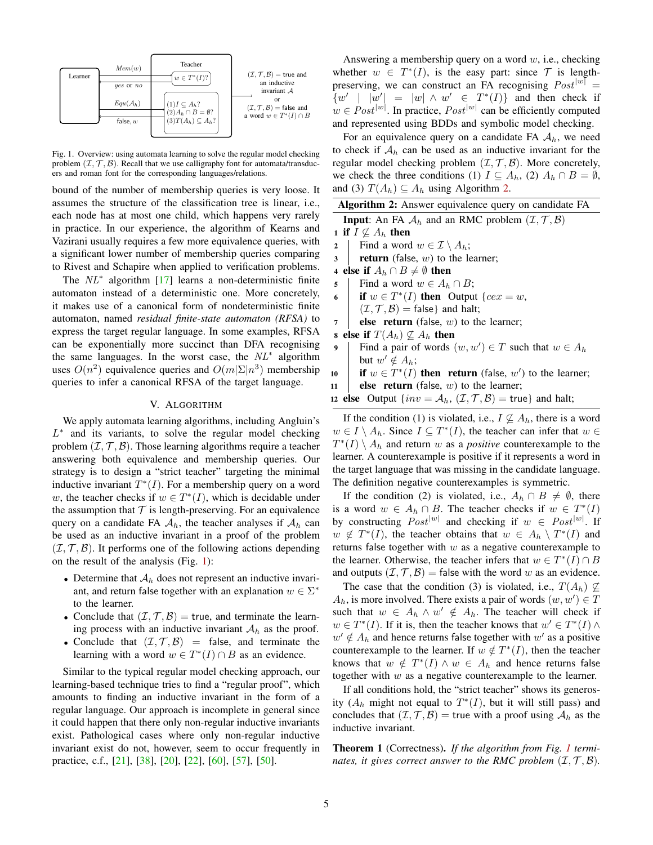

<span id="page-4-1"></span>Fig. 1. Overview: using automata learning to solve the regular model checking problem  $(\mathcal{I}, \mathcal{T}, \mathcal{B})$ . Recall that we use calligraphy font for automata/transducers and roman font for the corresponding languages/relations.

bound of the number of membership queries is very loose. It assumes the structure of the classification tree is linear, i.e., each node has at most one child, which happens very rarely in practice. In our experience, the algorithm of Kearns and Vazirani usually requires a few more equivalence queries, with a significant lower number of membership queries comparing to Rivest and Schapire when applied to verification problems.

The  $NL^*$  algorithm [\[17\]](#page-6-19) learns a non-deterministic finite automaton instead of a deterministic one. More concretely, it makes use of a canonical form of nondeterministic finite automaton, named *residual finite-state automaton (RFSA)* to express the target regular language. In some examples, RFSA can be exponentially more succinct than DFA recognising the same languages. In the worst case, the  $NL^*$  algorithm uses  $O(n^2)$  equivalence queries and  $O(m|\Sigma|n^3)$  membership queries to infer a canonical RFSA of the target language.

### V. ALGORITHM

<span id="page-4-0"></span>We apply automata learning algorithms, including Angluin's L ∗ and its variants, to solve the regular model checking problem  $(\mathcal{I}, \mathcal{T}, \mathcal{B})$ . Those learning algorithms require a teacher answering both equivalence and membership queries. Our strategy is to design a "strict teacher" targeting the minimal inductive invariant  $T^*(I)$ . For a membership query on a word w, the teacher checks if  $w \in T^*(I)$ , which is decidable under the assumption that  $T$  is length-preserving. For an equivalence query on a candidate FA  $A_h$ , the teacher analyses if  $A_h$  can be used as an inductive invariant in a proof of the problem  $(\mathcal{I}, \mathcal{T}, \mathcal{B})$ . It performs one of the following actions depending on the result of the analysis (Fig. [1\)](#page-4-1):

- Determine that  $A_h$  does not represent an inductive invariant, and return false together with an explanation  $w \in \Sigma^*$ to the learner.
- Conclude that  $(\mathcal{I}, \mathcal{T}, \mathcal{B})$  = true, and terminate the learning process with an inductive invariant  $A_h$  as the proof.
- Conclude that  $(\mathcal{I}, \mathcal{T}, \mathcal{B})$  = false, and terminate the learning with a word  $w \in T^*(I) \cap B$  as an evidence.

Similar to the typical regular model checking approach, our learning-based technique tries to find a "regular proof", which amounts to finding an inductive invariant in the form of a regular language. Our approach is incomplete in general since it could happen that there only non-regular inductive invariants exist. Pathological cases where only non-regular inductive invariant exist do not, however, seem to occur frequently in practice, c.f., [\[21\]](#page-6-11), [\[38\]](#page-7-10), [\[20\]](#page-6-12), [\[22\]](#page-6-8), [\[60\]](#page-7-28), [\[57\]](#page-7-7), [\[50\]](#page-7-29).

Answering a membership query on a word  $w$ , i.e., checking whether  $w \in T^*(I)$ , is the easy part: since  $\mathcal T$  is lengthpreserving, we can construct an FA recognising  $Post^{|w|} =$  $\{w' \mid |w'| = |w| \wedge w' \in T^*(I)\}\$  and then check if  $w \in Post^{|w|}$ . In practice,  $Post^{|w|}$  can be efficiently computed and represented using BDDs and symbolic model checking.

For an equivalence query on a candidate FA  $A<sub>h</sub>$ , we need to check if  $A_h$  can be used as an inductive invariant for the regular model checking problem  $(\mathcal{I}, \mathcal{T}, \mathcal{B})$ . More concretely, we check the three conditions (1)  $I \subseteq A_h$ , (2)  $A_h \cap B = \emptyset$ , and (3)  $T(A_h) \subseteq A_h$  using Algorithm [2.](#page-4-2)

Algorithm 2: Answer equivalence query on candidate FA

**Input:** An FA  $A_h$  and an RMC problem  $(\mathcal{I}, \mathcal{T}, \mathcal{B})$ 

1 if  $I \nsubseteq A_h$  then

- 2 | Find a word  $w \in \mathcal{I} \setminus A_h$ ;
- $3$  return (false, w) to the learner;
- 4 else if  $A_h \cap B \neq \emptyset$  then
- 5 Find a word  $w \in A_h \cap B$ ;
- 6 if  $w \in T^*(I)$  then Output { $cex = w$ ,  $(\mathcal{I}, \mathcal{T}, \mathcal{B}) = \text{false}$  and halt;
- $7$  else return (false, w) to the learner;
- 8 else if  $T(A_h) \nsubseteq A_h$  then
- 9 | Find a pair of words  $(w, w') \in T$  such that  $w \in A_h$ but  $w' \notin A_h$ ;
- 10 if  $w \in T^*(I)$  then return (false, w') to the learner;

11 **else return** (false, w) to the learner;

12 else Output { $inv = A_h$ ,  $(\mathcal{I}, \mathcal{T}, \mathcal{B})$  = true} and halt;

<span id="page-4-2"></span>If the condition (1) is violated, i.e.,  $I \nsubseteq A_h$ , there is a word  $w \in I \setminus A_h$ . Since  $I \subseteq T^*(I)$ , the teacher can infer that  $w \in$  $T^*(I) \setminus A_h$  and return w as a *positive* counterexample to the learner. A counterexample is positive if it represents a word in the target language that was missing in the candidate language. The definition negative counterexamples is symmetric.

If the condition (2) is violated, i.e.,  $A_h \cap B \neq \emptyset$ , there is a word  $w \in A_h \cap B$ . The teacher checks if  $w \in T^*(I)$ by constructing  $Post^{|w|}$  and checking if  $w \in Post^{|w|}$ . If  $w \notin T^*(I)$ , the teacher obtains that  $w \in A_h \setminus T^*(I)$  and returns false together with  $w$  as a negative counterexample to the learner. Otherwise, the teacher infers that  $w \in T^*(I) \cap B$ and outputs  $(\mathcal{I}, \mathcal{T}, \mathcal{B})$  = false with the word w as an evidence.

The case that the condition (3) is violated, i.e.,  $T(A_h) \nsubseteq$  $A_h$ , is more involved. There exists a pair of words  $(w, w') \in T$ such that  $w \in A_h \wedge w' \notin A_h$ . The teacher will check if  $w \in T^*(I)$ . If it is, then the teacher knows that  $w' \in T^*(I) \wedge$  $w' \notin A_h$  and hence returns false together with  $w'$  as a positive counterexample to the learner. If  $w \notin T^*(I)$ , then the teacher knows that  $w \notin T^*(I) \wedge w \in A_h$  and hence returns false together with  $w$  as a negative counterexample to the learner.

If all conditions hold, the "strict teacher" shows its generosity  $(A_h$  might not equal to  $T^*(I)$ , but it will still pass) and concludes that  $(\mathcal{I}, \mathcal{T}, \mathcal{B})$  = true with a proof using  $\mathcal{A}_h$  as the inductive invariant.

Theorem 1 (Correctness). *If the algorithm from Fig. [1](#page-4-1) terminates, it gives correct answer to the RMC problem*  $(\mathcal{I}, \mathcal{T}, \mathcal{B})$ *.*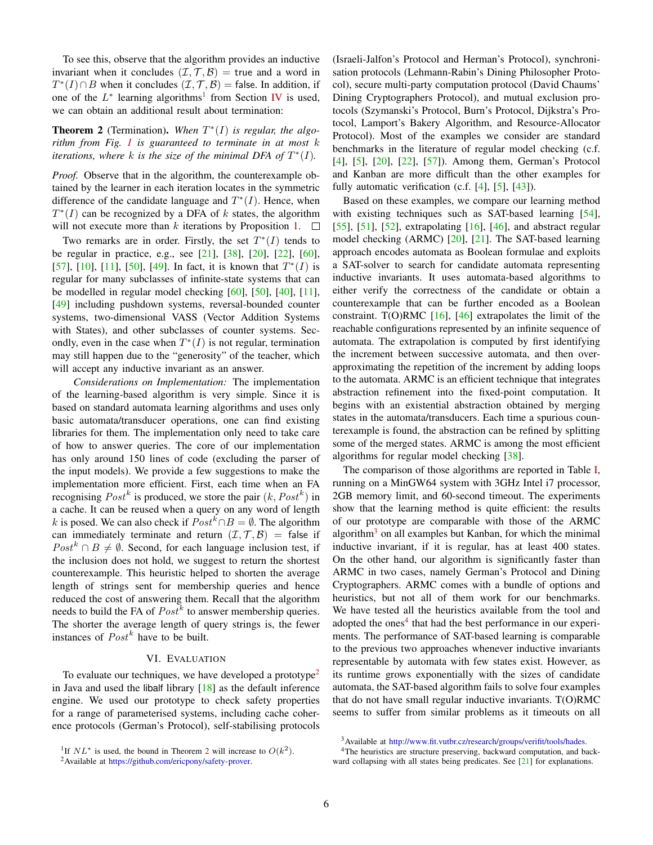To see this, observe that the algorithm provides an inductive invariant when it concludes  $(\mathcal{I}, \mathcal{T}, \mathcal{B})$  = true and a word in  $T^*(I) \cap B$  when it concludes  $(\mathcal{I}, \mathcal{T}, \mathcal{B}) = \text{false}$ . In addition, if one of the  $L^*$  learning algorithms<sup>[1](#page-5-1)</sup> from Section [IV](#page-3-0) is used, we can obtain an additional result about termination:

<span id="page-5-3"></span>**Theorem 2** (Termination). When  $T^*(I)$  is regular, the algo*rithm from Fig. [1](#page-4-1) is guaranteed to terminate in at most* k *iterations, where*  $k$  *is the size of the minimal DFA of*  $T^*(I)$ *.* 

*Proof.* Observe that in the algorithm, the counterexample obtained by the learner in each iteration locates in the symmetric difference of the candidate language and  $T^*(I)$ . Hence, when  $T^*(I)$  can be recognized by a DFA of k states, the algorithm will not execute more than k iterations by Proposition [1.](#page-3-2)  $\Box$ 

Two remarks are in order. Firstly, the set  $T^*(I)$  tends to be regular in practice, e.g., see [\[21\]](#page-6-11), [\[38\]](#page-7-10), [\[20\]](#page-6-12), [\[22\]](#page-6-8), [\[60\]](#page-7-28), [\[57\]](#page-7-7), [\[10\]](#page-6-20), [\[11\]](#page-6-13), [\[50\]](#page-7-29), [\[49\]](#page-7-30). In fact, it is known that  $T^*(I)$  is regular for many subclasses of infinite-state systems that can be modelled in regular model checking [\[60\]](#page-7-28), [\[50\]](#page-7-29), [\[40\]](#page-7-31), [\[11\]](#page-6-13), [\[49\]](#page-7-30) including pushdown systems, reversal-bounded counter systems, two-dimensional VASS (Vector Addition Systems with States), and other subclasses of counter systems. Secondly, even in the case when  $T^*(I)$  is not regular, termination may still happen due to the "generosity" of the teacher, which will accept any inductive invariant as an answer.

*Considerations on Implementation:* The implementation of the learning-based algorithm is very simple. Since it is based on standard automata learning algorithms and uses only basic automata/transducer operations, one can find existing libraries for them. The implementation only need to take care of how to answer queries. The core of our implementation has only around 150 lines of code (excluding the parser of the input models). We provide a few suggestions to make the implementation more efficient. First, each time when an FA recognising  $Post^k$  is produced, we store the pair  $(k, Post^k)$  in a cache. It can be reused when a query on any word of length k is posed. We can also check if  $Post<sup>k</sup> \cap B = \emptyset$ . The algorithm can immediately terminate and return  $(\mathcal{I}, \mathcal{T}, \mathcal{B}) =$  false if  $Post^{k} \cap B \neq \emptyset$ . Second, for each language inclusion test, if the inclusion does not hold, we suggest to return the shortest counterexample. This heuristic helped to shorten the average length of strings sent for membership queries and hence reduced the cost of answering them. Recall that the algorithm needs to build the FA of  $Post<sup>k</sup>$  to answer membership queries. The shorter the average length of query strings is, the fewer instances of  $Post<sup>k</sup>$  have to be built.

### VI. EVALUATION

<span id="page-5-0"></span>To evaluate our techniques, we have developed a prototype<sup>[2](#page-5-2)</sup> in Java and used the libalf library [\[18\]](#page-6-21) as the default inference engine. We used our prototype to check safety properties for a range of parameterised systems, including cache coherence protocols (German's Protocol), self-stabilising protocols (Israeli-Jalfon's Protocol and Herman's Protocol), synchronisation protocols (Lehmann-Rabin's Dining Philosopher Protocol), secure multi-party computation protocol (David Chaums' Dining Cryptographers Protocol), and mutual exclusion protocols (Szymanski's Protocol, Burn's Protocol, Dijkstra's Protocol, Lamport's Bakery Algorithm, and Resource-Allocator Protocol). Most of the examples we consider are standard benchmarks in the literature of regular model checking (c.f. [\[4\]](#page-6-9), [\[5\]](#page-6-10), [\[20\]](#page-6-12), [\[22\]](#page-6-8), [\[57\]](#page-7-7)). Among them, German's Protocol and Kanban are more difficult than the other examples for fully automatic verification (c.f.  $[4]$ ,  $[5]$ ,  $[43]$ ).

Based on these examples, we compare our learning method with existing techniques such as SAT-based learning [\[54\]](#page-7-8), [\[55\]](#page-7-9), [\[51\]](#page-7-21), [\[52\]](#page-7-19), extrapolating [\[16\]](#page-6-16), [\[46\]](#page-7-33), and abstract regular model checking (ARMC) [\[20\]](#page-6-12), [\[21\]](#page-6-11). The SAT-based learning approach encodes automata as Boolean formulae and exploits a SAT-solver to search for candidate automata representing inductive invariants. It uses automata-based algorithms to either verify the correctness of the candidate or obtain a counterexample that can be further encoded as a Boolean constraint. T(O)RMC [\[16\]](#page-6-16), [\[46\]](#page-7-33) extrapolates the limit of the reachable configurations represented by an infinite sequence of automata. The extrapolation is computed by first identifying the increment between successive automata, and then overapproximating the repetition of the increment by adding loops to the automata. ARMC is an efficient technique that integrates abstraction refinement into the fixed-point computation. It begins with an existential abstraction obtained by merging states in the automata/transducers. Each time a spurious counterexample is found, the abstraction can be refined by splitting some of the merged states. ARMC is among the most efficient algorithms for regular model checking [\[38\]](#page-7-10).

The comparison of those algorithms are reported in Table [I,](#page-6-22) running on a MinGW64 system with 3GHz Intel i7 processor, 2GB memory limit, and 60-second timeout. The experiments show that the learning method is quite efficient: the results of our prototype are comparable with those of the ARMC algorithm $3$  on all examples but Kanban, for which the minimal inductive invariant, if it is regular, has at least 400 states. On the other hand, our algorithm is significantly faster than ARMC in two cases, namely German's Protocol and Dining Cryptographers. ARMC comes with a bundle of options and heuristics, but not all of them work for our benchmarks. We have tested all the heuristics available from the tool and adopted the ones<sup>[4](#page-5-5)</sup> that had the best performance in our experiments. The performance of SAT-based learning is comparable to the previous two approaches whenever inductive invariants representable by automata with few states exist. However, as its runtime grows exponentially with the sizes of candidate automata, the SAT-based algorithm fails to solve four examples that do not have small regular inductive invariants. T(O)RMC seems to suffer from similar problems as it timeouts on all

<span id="page-5-1"></span><sup>&</sup>lt;sup>1</sup>If  $NL^*$  is used, the bound in Theorem [2](#page-5-3) will increase to  $O(k^2)$ .

<span id="page-5-2"></span><sup>2</sup>Available at [https://github.com/ericpony/safety-prover.](https://github.com/ericpony/safety-prover)

<span id="page-5-5"></span><span id="page-5-4"></span><sup>&</sup>lt;sup>3</sup>Available at [http://www.fit.vutbr.cz/research/groups/verifit/tools/hades.](http://www.fit.vutbr.cz/research/groups/verifit/tools/hades)

<sup>&</sup>lt;sup>4</sup>The heuristics are structure preserving, backward computation, and backward collapsing with all states being predicates. See [\[21\]](#page-6-11) for explanations.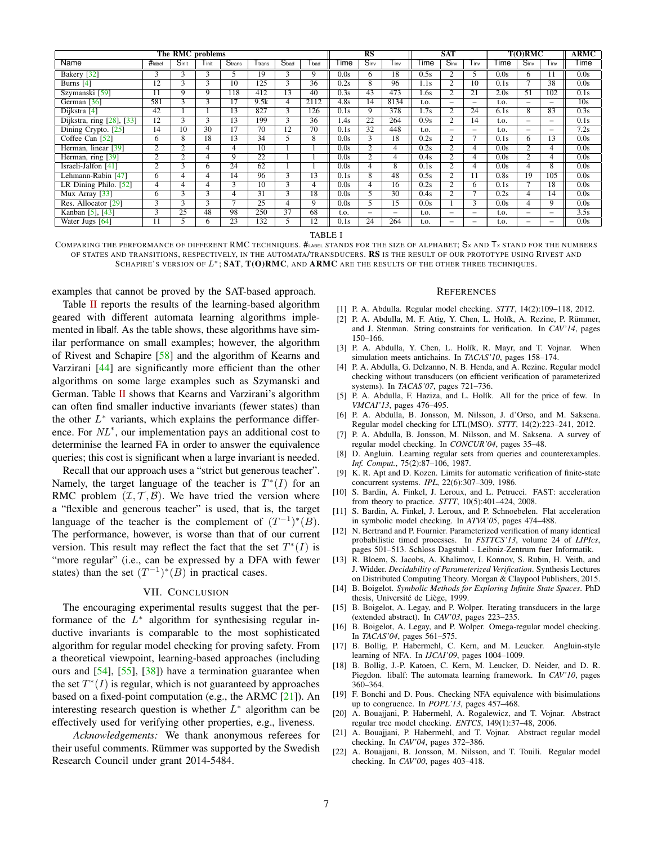|                                           | RS          |                |              | <b>SAT</b>      |         |                  | T(O)RMC |      |                          | <b>ARMC</b>              |      |                          |                          |      |                          |                          |                 |
|-------------------------------------------|-------------|----------------|--------------|-----------------|---------|------------------|---------|------|--------------------------|--------------------------|------|--------------------------|--------------------------|------|--------------------------|--------------------------|-----------------|
| Name                                      | $#_{label}$ | Sinit          | Tinit        | <b>Strans</b>   | I trans | S <sub>bad</sub> | bad     | Time | $S_{inv}$                | Tinv                     | Time | $S_{inv}$                | Tinv                     | Time | $S_{inv}$                | Tinv                     | Time            |
| Bakery [32]                               |             | 3              |              |                 | 19      |                  | q       | 0.0s | 6                        | 18                       | 0.5s | $\overline{c}$           |                          | 0.0s | <sub>t</sub>             | 11                       | 0.0s            |
| Burns $[4]$                               | 12          | 3              | $\sim$       | 10              | 125     | $\sim$<br>-1     | 36      | 0.2s | 8                        | 96                       | 1.1s | 2                        | 10                       | 0.1s |                          | 38                       | 0.0s            |
| Szymanski [59]                            |             | 9              | 9            | 118             | 412     | 13               | 40      | 0.3s | 43                       | 473                      | 1.6s | 2                        | 21                       | 2.0s | 51                       | 102                      | 0.1s            |
| German [36]                               | 581         | 3              |              | 17              | 9.5k    |                  | 2112    | 4.8s | 14                       | 8134                     | t.o. | $\overline{\phantom{m}}$ | $\overline{\phantom{0}}$ | t.o. | -                        | $\qquad \qquad$          | 10 <sub>s</sub> |
| Dijkstra [4]                              | 42          |                |              | 13              | 827     | 3                | 126     | 0.1s | 9                        | 378                      | 1.7s | 2                        | 24                       | 6.1s | 8                        | 83                       | 0.3s            |
| Dijkstra, ring $[28]$ , $[33]$            | 12          | 3              |              | $1\overline{3}$ | 199     | 3                | 36      | 1.4s | 22                       | 264                      | 0.9s | 2                        | 14                       | t.o. | $\overline{\phantom{0}}$ | $\overline{\phantom{0}}$ | 0.1s            |
| $Dining$ Crypto. $[25]$                   | 14          | 10             | 30           | 17              | 70      | 12               | 70      | 0.1s | 32                       | 448                      | t.o. | $\qquad \qquad =$        | $\overline{\phantom{m}}$ | t.o. | $\overline{\phantom{0}}$ | -                        | 7.2s            |
| Coffee Can [52]                           | 6           | 8              | 18           | 13              | 34      |                  | 8       | 0.0s | 3                        | 18                       | 0.2s | 2                        |                          | 0.1s | 6                        | 13                       | 0.0s            |
| Herman, linear [39]                       | 2           | $\overline{2}$ |              | $\overline{4}$  | 10      |                  |         | 0.0s | 2                        | 4                        | 0.2s | 2                        | 4                        | 0.0s |                          | 4                        | 0.0s            |
| Herman, ring [39]                         | 2           |                |              | 9               | 22      |                  |         | 0.0s | 2                        | 4                        | 0.4s | 2                        | 4                        | 0.0s |                          | 4                        | 0.0s            |
| Israeli-Jalfon [41]                       | 2           | 3              | 6            | 24              | 62      |                  |         | 0.0s | 4                        | 8                        | 0.1s | $\overline{c}$           | 4                        | 0.0s |                          | 8                        | 0.0s            |
| Lehmann-Rabin [47]                        | 6           | 4              |              | 14              | 96      | $\mathcal{F}$    | 13      | 0.1s | 8                        | 48                       | 0.5s | 2                        | 11                       | 0.8s | $1\overline{9}$          | 105                      | 0.0s            |
| LR Dining $\overline{\text{Philo. [52]}}$ | 4           | 4              |              | 3               | 10      | 3                | 4       | 0.0s | 4                        | 16                       | 0.2s | 2                        | 6                        | 0.1s |                          | 18                       | 0.0s            |
| Mux Array [33]                            | 6           | 3              | $\sim$       | 4               | 31      | 3                | 18      | 0.0s |                          | 30                       | 0.4s | $\overline{c}$           |                          | 0.2s |                          | 14                       | 0.0s            |
| Res. Allocator [29]                       | 3           | 3              | $\mathbf{a}$ | $\mathbf{r}$    | 25      |                  | 9       | 0.0s | 5                        | 15                       | 0.0s |                          | 3                        | 0.0s |                          | 9                        | 0.0s            |
| Kanban [5], [43]                          | 3           | 25             | 48           | 98              | 250     | 37               | 68      | t.o. | $\overline{\phantom{0}}$ | $\overline{\phantom{0}}$ | t.o. | $\overline{\phantom{0}}$ | $\overline{\phantom{m}}$ | t.o. | $\overline{\phantom{0}}$ | $\overline{\phantom{0}}$ | 3.5s            |
| Water Jugs [64]                           |             | 5              | 6.           | $2\overline{3}$ | 132     |                  | 12      | 0.1s | 24                       | 264                      | t.o. | $\overline{\phantom{0}}$ | $\overline{\phantom{m}}$ | t.o. | -                        | $\qquad \qquad$          | 0.0s            |

TABLE I

<span id="page-6-22"></span>COMPARING THE PERFORMANCE OF DIFFERENT RMC TECHNIQUES. #LABEL STANDS FOR THE SIZE OF ALPHABET; Sx AND Tx STAND FOR THE NUMBERS OF STATES AND TRANSITIONS, RESPECTIVELY, IN THE AUTOMATA/TRANSDUCERS. RS IS THE RESULT OF OUR PROTOTYPE USING RIVEST AND SCHAPIRE'S VERSION OF  $L^*$ ; SAT, T(O)RMC, AND ARMC ARE THE RESULTS OF THE OTHER THREE TECHNIQUES.

examples that cannot be proved by the SAT-based approach.

Table [II](#page-7-43) reports the results of the learning-based algorithm geared with different automata learning algorithms implemented in libalf. As the table shows, these algorithms have similar performance on small examples; however, the algorithm of Rivest and Schapire [\[58\]](#page-7-13) and the algorithm of Kearns and Varzirani [\[44\]](#page-7-14) are significantly more efficient than the other algorithms on some large examples such as Szymanski and German. Table [II](#page-7-43) shows that Kearns and Varzirani's algorithm can often find smaller inductive invariants (fewer states) than the other  $L^*$  variants, which explains the performance difference. For  $NL^*$ , our implementation pays an additional cost to determinise the learned FA in order to answer the equivalence queries; this cost is significant when a large invariant is needed.

Recall that our approach uses a "strict but generous teacher". Namely, the target language of the teacher is  $T^*(I)$  for an RMC problem  $(\mathcal{I}, \mathcal{T}, \mathcal{B})$ . We have tried the version where a "flexible and generous teacher" is used, that is, the target language of the teacher is the complement of  $(T^{-1})^*(B)$ . The performance, however, is worse than that of our current version. This result may reflect the fact that the set  $T^*(I)$  is "more regular" (i.e., can be expressed by a DFA with fewer states) than the set  $(T^{-1})^*(B)$  in practical cases.

### VII. CONCLUSION

The encouraging experimental results suggest that the performance of the  $L^*$  algorithm for synthesising regular inductive invariants is comparable to the most sophisticated algorithm for regular model checking for proving safety. From a theoretical viewpoint, learning-based approaches (including ours and [\[54\]](#page-7-8), [\[55\]](#page-7-9), [\[38\]](#page-7-10)) have a termination guarantee when the set  $T^*(I)$  is regular, which is not guaranteed by approaches based on a fixed-point computation (e.g., the ARMC  $[21]$ ). An interesting research question is whether  $L^*$  algorithm can be effectively used for verifying other properties, e.g., liveness.

*Acknowledgements:* We thank anonymous referees for their useful comments. Rümmer was supported by the Swedish Research Council under grant 2014-5484.

#### **REFERENCES**

- <span id="page-6-7"></span>[1] P. A. Abdulla. Regular model checking. *STTT*, 14(2):109–118, 2012.
- <span id="page-6-14"></span>[2] P. A. Abdulla, M. F. Atig, Y. Chen, L. Holík, A. Rezine, P. Rümmer, and J. Stenman. String constraints for verification. In *CAV'14*, pages 150–166.
- <span id="page-6-17"></span>[3] P. A. Abdulla, Y. Chen, L. Holík, R. Mayr, and T. Vojnar. When simulation meets antichains. In *TACAS'10*, pages 158–174.
- <span id="page-6-9"></span>[4] P. A. Abdulla, G. Delzanno, N. B. Henda, and A. Rezine. Regular model checking without transducers (on efficient verification of parameterized systems). In *TACAS'07*, pages 721–736.
- <span id="page-6-10"></span>[5] P. A. Abdulla, F. Haziza, and L. Holík. All for the price of few. In *VMCAI'13*, pages 476–495.
- <span id="page-6-6"></span>[6] P. A. Abdulla, B. Jonsson, M. Nilsson, J. d'Orso, and M. Saksena. Regular model checking for LTL(MSO). *STTT*, 14(2):223–241, 2012.
- <span id="page-6-3"></span>[7] P. A. Abdulla, B. Jonsson, M. Nilsson, and M. Saksena. A survey of regular model checking. In *CONCUR'04*, pages 35–48.
- <span id="page-6-15"></span>[8] D. Angluin. Learning regular sets from queries and counterexamples. *Inf. Comput.*, 75(2):87–106, 1987.
- <span id="page-6-0"></span>[9] K. R. Apt and D. Kozen. Limits for automatic verification of finite-state concurrent systems. *IPL*, 22(6):307–309, 1986.
- <span id="page-6-20"></span>[10] S. Bardin, A. Finkel, J. Leroux, and L. Petrucci. FAST: acceleration from theory to practice. *STTT*, 10(5):401–424, 2008.
- <span id="page-6-13"></span>[11] S. Bardin, A. Finkel, J. Leroux, and P. Schnoebelen. Flat acceleration in symbolic model checking. In *ATVA'05*, pages 474–488.
- <span id="page-6-1"></span>[12] N. Bertrand and P. Fournier. Parameterized verification of many identical probabilistic timed processes. In *FSTTCS'13*, volume 24 of *LIPIcs*, pages 501–513. Schloss Dagstuhl - Leibniz-Zentrum fuer Informatik.
- <span id="page-6-2"></span>[13] R. Bloem, S. Jacobs, A. Khalimov, I. Konnov, S. Rubin, H. Veith, and J. Widder. *Decidability of Parameterized Verification*. Synthesis Lectures on Distributed Computing Theory. Morgan & Claypool Publishers, 2015.
- <span id="page-6-4"></span>[14] B. Boigelot. *Symbolic Methods for Exploring Infinite State Spaces*. PhD thesis, Université de Liège, 1999.
- <span id="page-6-5"></span>[15] B. Boigelot, A. Legay, and P. Wolper. Iterating transducers in the large (extended abstract). In *CAV'03*, pages 223–235.
- <span id="page-6-16"></span>[16] B. Boigelot, A. Legay, and P. Wolper. Omega-regular model checking. In *TACAS'04*, pages 561–575.
- <span id="page-6-19"></span>[17] B. Bollig, P. Habermehl, C. Kern, and M. Leucker. Angluin-style learning of NFA. In *IJCAI'09*, pages 1004–1009.
- <span id="page-6-21"></span>[18] B. Bollig, J.-P. Katoen, C. Kern, M. Leucker, D. Neider, and D. R. Piegdon. libalf: The automata learning framework. In *CAV'10*, pages 360–364.
- <span id="page-6-18"></span>[19] F. Bonchi and D. Pous. Checking NFA equivalence with bisimulations up to congruence. In *POPL'13*, pages 457–468.
- <span id="page-6-12"></span>[20] A. Bouajjani, P. Habermehl, A. Rogalewicz, and T. Vojnar. Abstract regular tree model checking. *ENTCS*, 149(1):37–48, 2006.
- <span id="page-6-11"></span>[21] A. Bouajjani, P. Habermehl, and T. Vojnar. Abstract regular model checking. In *CAV'04*, pages 372–386.
- <span id="page-6-8"></span>[22] A. Bouajjani, B. Jonsson, M. Nilsson, and T. Touili. Regular model checking. In *CAV'00*, pages 403–418.